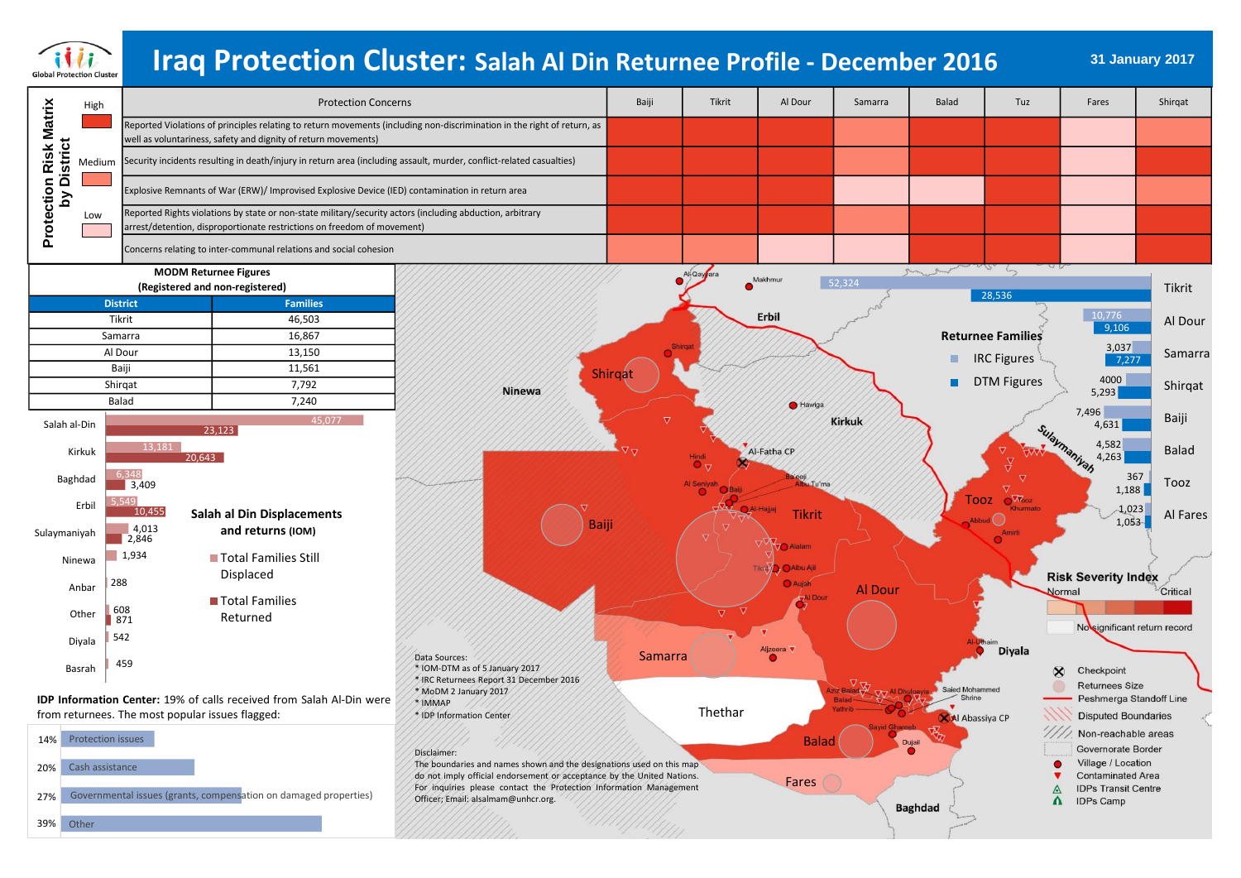

# **31 January 2017 Iraq Protection Cluster: Salah Al Din Returnee Profile - December 2016**